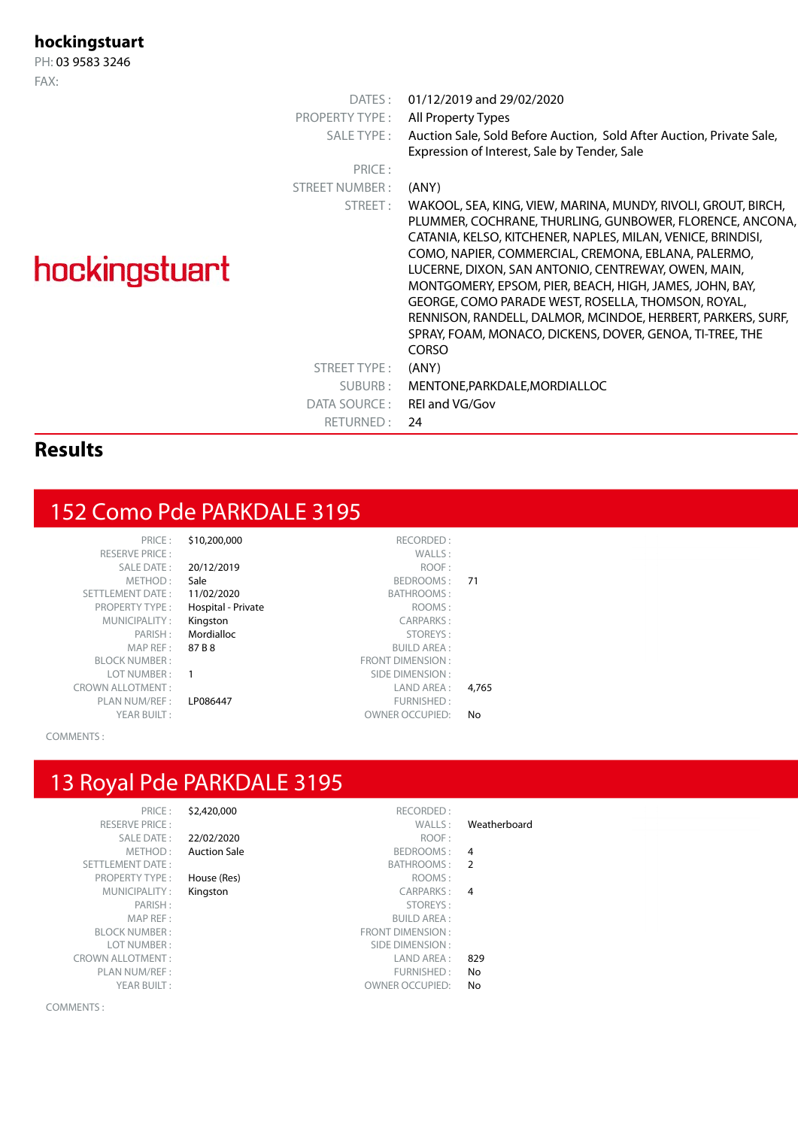#### **hockingstuart**

PH: 03 9583 3246 FAX:

| 1111.<br>hockingstuart | DATES :<br><b>PROPERTY TYPE:</b><br>SALE TYPE:<br>PRICE:<br>STREET NUMBER:<br>STREET:<br>STREET TYPE: | 01/12/2019 and 29/02/2020<br>All Property Types<br>Auction Sale, Sold Before Auction, Sold After Auction, Private Sale,<br>Expression of Interest, Sale by Tender, Sale<br>(ANY)<br>WAKOOL, SEA, KING, VIEW, MARINA, MUNDY, RIVOLI, GROUT, BIRCH,<br>PLUMMER, COCHRANE, THURLING, GUNBOWER, FLORENCE, ANCONA,<br>CATANIA, KELSO, KITCHENER, NAPLES, MILAN, VENICE, BRINDISI,<br>COMO, NAPIER, COMMERCIAL, CREMONA, EBLANA, PALERMO,<br>LUCERNE, DIXON, SAN ANTONIO, CENTREWAY, OWEN, MAIN,<br>MONTGOMERY, EPSOM, PIER, BEACH, HIGH, JAMES, JOHN, BAY,<br>GEORGE, COMO PARADE WEST, ROSELLA, THOMSON, ROYAL,<br>RENNISON, RANDELL, DALMOR, MCINDOE, HERBERT, PARKERS, SURF,<br>SPRAY, FOAM, MONACO, DICKENS, DOVER, GENOA, TI-TREE, THE<br><b>CORSO</b><br>(ANY) |
|------------------------|-------------------------------------------------------------------------------------------------------|-----------------------------------------------------------------------------------------------------------------------------------------------------------------------------------------------------------------------------------------------------------------------------------------------------------------------------------------------------------------------------------------------------------------------------------------------------------------------------------------------------------------------------------------------------------------------------------------------------------------------------------------------------------------------------------------------------------------------------------------------------------------|
|                        | SUBURB:                                                                                               | MENTONE, PARKDALE, MORDIALLOC                                                                                                                                                                                                                                                                                                                                                                                                                                                                                                                                                                                                                                                                                                                                   |
|                        |                                                                                                       |                                                                                                                                                                                                                                                                                                                                                                                                                                                                                                                                                                                                                                                                                                                                                                 |
|                        | DATA SOURCE :                                                                                         | REI and VG/Gov                                                                                                                                                                                                                                                                                                                                                                                                                                                                                                                                                                                                                                                                                                                                                  |
|                        | RETURNED:                                                                                             | 24                                                                                                                                                                                                                                                                                                                                                                                                                                                                                                                                                                                                                                                                                                                                                              |

#### **Results**

#### 152 Como Pde PARKDALE 3195

|      | RECORDED:               | \$10,200,000       | PRICE:                  |
|------|-------------------------|--------------------|-------------------------|
|      | WALLS:                  |                    | <b>RESERVE PRICE:</b>   |
|      | ROOF:                   | 20/12/2019         | <b>SALE DATE:</b>       |
| 71   | BEDROOMS:               | Sale               | METHOD:                 |
|      | <b>BATHROOMS:</b>       | 11/02/2020         | <b>SETTLEMENT DATE:</b> |
|      | ROOMS:                  | Hospital - Private | <b>PROPERTY TYPE:</b>   |
|      | <b>CARPARKS:</b>        | Kingston           | MUNICIPALITY:           |
|      | STOREYS:                | Mordialloc         | PARISH:                 |
|      | <b>BUILD AREA:</b>      | 87 B 8             | MAP REF:                |
|      | <b>FRONT DIMENSION:</b> |                    | <b>BLOCK NUMBER:</b>    |
|      | SIDE DIMENSION:         | 1                  | LOT NUMBER:             |
| 4.7( | LAND AREA:              |                    | ROWN ALLOTMENT :        |
|      | FURNISHED:              | LP086447           | PLAN NUM/REF:           |
| No   | <b>OWNER OCCUPIED:</b>  |                    | YEAR BUILT:             |

\$10,200,000 RECORDED :<br>WALLS : RESERVE PRICE : WALLS : Participants of the sale of the sale of the sale of the sale of the sale of the sale of the sale of the sale of the sale of the sale of the sale of the sale of the sale of the sale of the sale of the sale of the sale of th Sale BEDROOMS : 71<br>11/02/2020 BATHROOMS : BATHROOMS :<br>ROOMS : CARPARKS : Mordialloc STOREYS :<br>
87 B 8 BUILD AREA : **BUILD AREA:** ERONT DIMENSION :<br>BLOCK NUMBER : FRONT DIMENSION : SIDE DIMENSION : CROWN ALLOTMENT : LAND AREA : 4,765 LP086447 FURNISHED :

COMMENTS :

#### 13 Royal Pde PARKDALE 3195

PRICE : \$2,420,000 RECORDED : SALE DATE : 22/02/2020 METHOD: Auction Sale SETTLEMENT DATE: PROPERTY TYPE : **House (Res)**<br>MUNICIPALITY : **Kingston** MUNICIPALITY : PARISH: MAP REF : BLOCK NUMBER: LOT NUMBER : CROWN ALLOTMENT: PLAN NUM/REF :<br>YEAR BUILT :

| Weatherboard   | WALLS:                 | <b>RESERVE PRICE:</b>          |
|----------------|------------------------|--------------------------------|
|                | ROOF:                  | SALE DATE:<br>22/02/2020       |
| 4              | BEDROOMS:              | METHOD:<br><b>Auction Sale</b> |
| $\overline{2}$ | BATHROOMS:             | TLEMENT DATE:                  |
|                | ROOMS:                 | PROPERTY TYPE :<br>House (Res) |
| 4              | CARPARKS:              | MUNICIPALITY:<br>Kingston      |
|                | STOREYS:               | PARISH:                        |
|                | <b>BUILD AREA:</b>     | MAP REF :                      |
|                | FRONT DIMENSION:       | <b>BLOCK NUMBER :</b>          |
|                | SIDE DIMENSION:        | LOT NUMBER :                   |
| 829            | LAND AREA:             | VN ALLOTMENT :                 |
| No             | FURNISHED:             | PLAN NUM/REF:                  |
| No             | <b>OWNER OCCUPIED:</b> | YEAR BUILT:                    |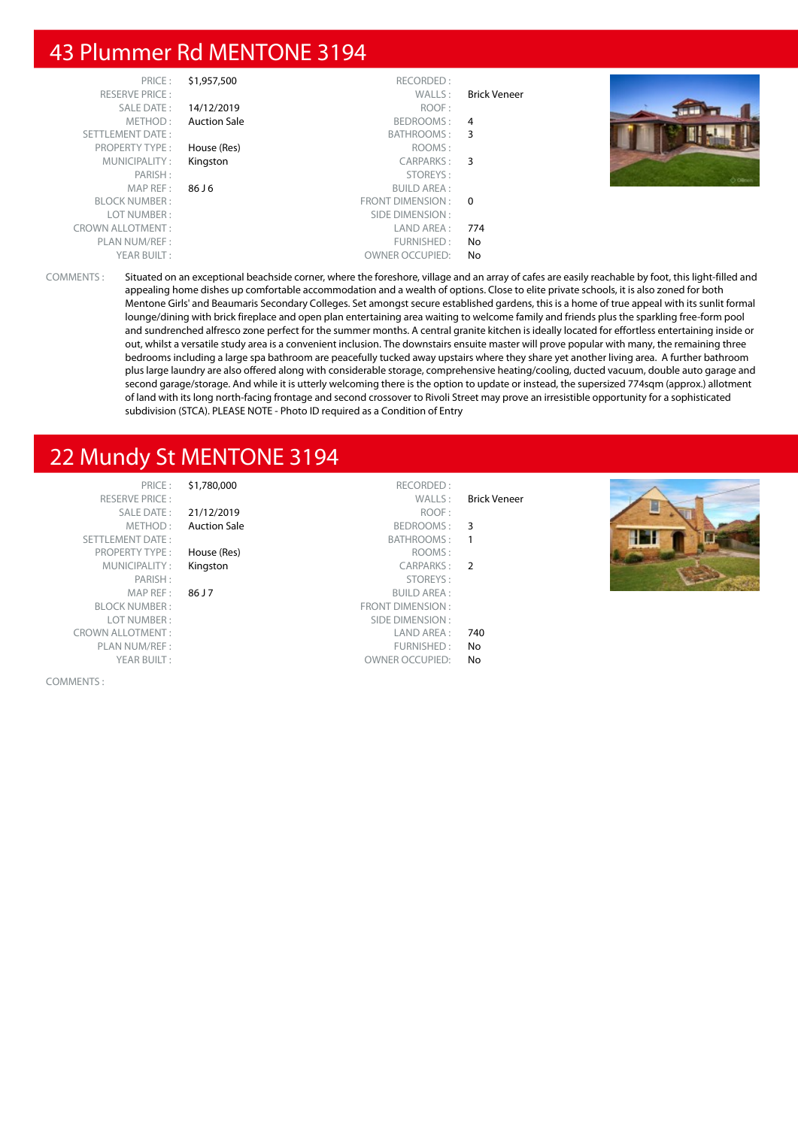#### 43 Plummer Rd MENTONE 3194

| PRICE:                  | \$1,957,500         | RECORDED:              |                     |           |
|-------------------------|---------------------|------------------------|---------------------|-----------|
| <b>RESERVE PRICE:</b>   |                     | WALLS:                 | <b>Brick Veneer</b> |           |
| SALE DATE:              | 14/12/2019          | ROOF:                  |                     |           |
| METHOD:                 | <b>Auction Sale</b> | BEDROOMS:              | 4                   |           |
| SETTLEMENT DATE:        |                     | BATHROOMS: 3           |                     |           |
| <b>PROPERTY TYPE:</b>   | House (Res)         | ROOMS:                 |                     |           |
| MUNICIPALITY:           | Kingston            | CARPARKS: 3            |                     |           |
| PARISH:                 |                     | STOREYS:               |                     | O Olivers |
| MAP REF :               | 86 J 6              | <b>BUILD AREA:</b>     |                     |           |
| <b>BLOCK NUMBER:</b>    |                     | FRONT DIMENSION : 0    |                     |           |
| LOT NUMBER:             |                     | SIDE DIMENSION :       |                     |           |
| <b>CROWN ALLOTMENT:</b> |                     | LAND AREA:             | 774                 |           |
| PLAN NUM/REF:           |                     | FURNISHED:             | No                  |           |
| YEAR BUILT:             |                     | <b>OWNER OCCUPIED:</b> | No                  |           |

COMMENTS : Situated on an exceptional beachside corner, where the foreshore, village and an array of cafes are easily reachable by foot, this light-filled and appealing home dishes up comfortable accommodation and a wealth of options. Close to elite private schools, it is also zoned for both Mentone Girls' and Beaumaris Secondary Colleges. Set amongst secure established gardens, this is a home of true appeal with its sunlit formal lounge/dining with brick fireplace and open plan entertaining area waiting to welcome family and friends plus the sparkling free-form pool and sundrenched alfresco zone perfect for the summer months. A central granite kitchen is ideally located for effortless entertaining inside or out, whilst a versatile study area is a convenient inclusion. The downstairs ensuite master will prove popular with many, the remaining three bedrooms including a large spa bathroom are peacefully tucked away upstairs where they share yet another living area. A further bathroom plus large laundry are also offered along with considerable storage, comprehensive heating/cooling, ducted vacuum, double auto garage and second garage/storage. And while it is utterly welcoming there is the option to update or instead, the supersized 774sqm (approx.) allotment of land with its long north-facing frontage and second crossover to Rivoli Street may prove an irresistible opportunity for a sophisticated subdivision (STCA). PLEASE NOTE - Photo ID required as a Condition of Entry

#### 22 Mundy St MENTONE 3194

| PRICE:<br><b>RESERVE PRICE:</b><br>SALE DATE:<br>METHOD:<br><b>SETTLEMENT DATE:</b><br><b>PROPERTY TYPE:</b><br>MUNICIPALITY:<br>PARISH:<br>MAPREF: | \$1,780,000<br>21/12/2019<br><b>Auction Sale</b><br>House (Res)<br>Kingston<br>86 J 7 | RECORDED:<br>WALLS:<br>ROOF:<br>BEDROOMS:<br>BATHROOMS:<br>ROOMS:<br>CARPARKS:<br>STOREYS:<br><b>BUILD AREA:</b> | <b>Brick Veneer</b><br>-3<br>$\overline{\phantom{a}}$ |  |
|-----------------------------------------------------------------------------------------------------------------------------------------------------|---------------------------------------------------------------------------------------|------------------------------------------------------------------------------------------------------------------|-------------------------------------------------------|--|
|                                                                                                                                                     |                                                                                       |                                                                                                                  |                                                       |  |
| <b>BLOCK NUMBER:</b>                                                                                                                                |                                                                                       | FRONT DIMENSION:                                                                                                 |                                                       |  |
| LOT NUMBER:                                                                                                                                         |                                                                                       | SIDE DIMENSION :                                                                                                 |                                                       |  |
| <b>CROWN ALLOTMENT:</b>                                                                                                                             |                                                                                       | LAND AREA :                                                                                                      | 740                                                   |  |
| PLAN NUM/REF :                                                                                                                                      |                                                                                       | FURNISHED:                                                                                                       | No                                                    |  |
| YEAR BUILT:                                                                                                                                         |                                                                                       | <b>OWNER OCCUPIED:</b>                                                                                           | No                                                    |  |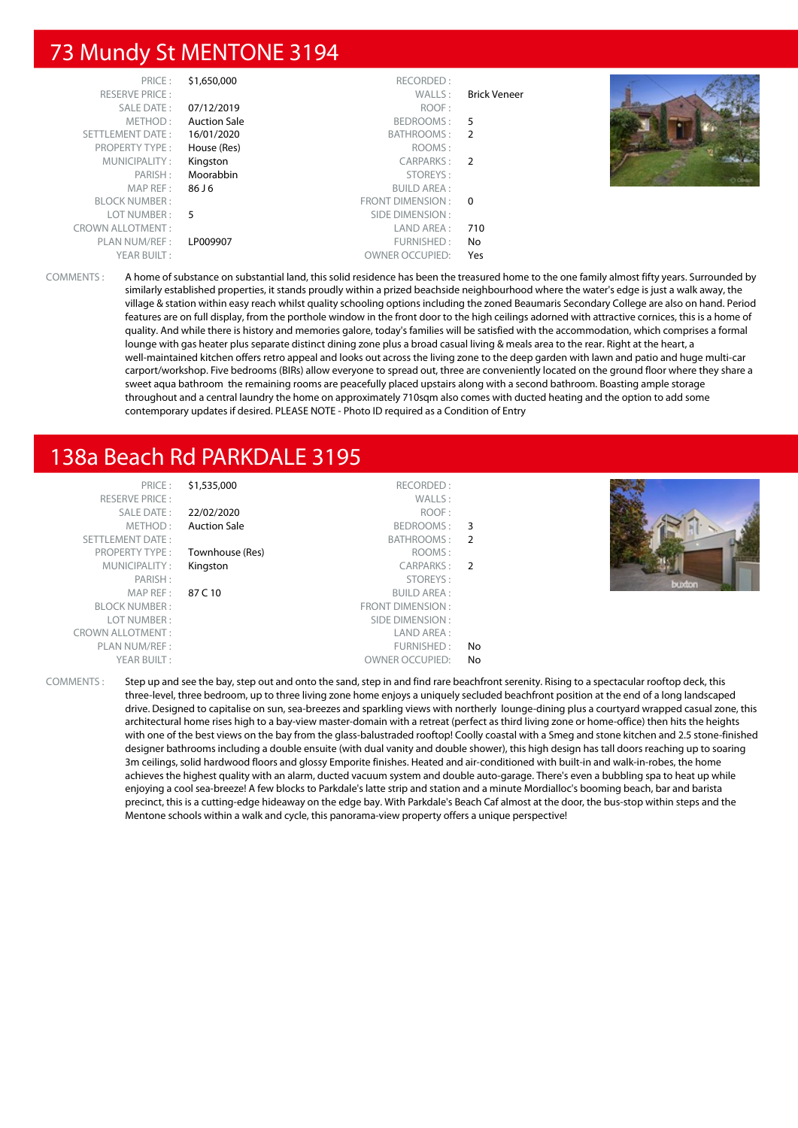#### 73 Mundy St MENTONE 3194

| PRICE:                  | \$1,650,000         | RECORDED:              |                     |  |
|-------------------------|---------------------|------------------------|---------------------|--|
| <b>RESERVE PRICE:</b>   |                     | WALLS:                 | <b>Brick Veneer</b> |  |
| <b>SALE DATE:</b>       | 07/12/2019          | ROOF:                  |                     |  |
| METHOD:                 | <b>Auction Sale</b> | BEDROOMS: 5            |                     |  |
| SETTLEMENT DATE:        | 16/01/2020          | BATHROOMS: 2           |                     |  |
| <b>PROPERTY TYPE:</b>   | House (Res)         | ROOMS:                 |                     |  |
| MUNICIPALITY:           | Kingston            | CARPARKS: 2            |                     |  |
| PARISH:                 | Moorabbin           | STOREYS:               |                     |  |
| MAP REF :               | 86 J 6              | <b>BUILD AREA:</b>     |                     |  |
| <b>BLOCK NUMBER:</b>    |                     | FRONT DIMENSION: 0     |                     |  |
| LOT NUMBER :            | - 5                 | SIDE DIMENSION :       |                     |  |
| <b>CROWN ALLOTMENT:</b> |                     | LAND AREA :            | 710                 |  |
| PLAN NUM/REF:           | LP009907            | FURNISHED:             | No                  |  |
| YEAR BUILT:             |                     | <b>OWNER OCCUPIED:</b> | Yes                 |  |

COMMENTS : A home of substance on substantial land, this solid residence has been the treasured home to the one family almost fifty years. Surrounded by similarly established properties, it stands proudly within a prized beachside neighbourhood where the water's edge is just a walk away, the village & station within easy reach whilst quality schooling options including the zoned Beaumaris Secondary College are also on hand. Period features are on full display, from the porthole window in the front door to the high ceilings adorned with attractive cornices, this is a home of quality. And while there is history and memories galore, today's families will be satisfied with the accommodation, which comprises a formal lounge with gas heater plus separate distinct dining zone plus a broad casual living & meals area to the rear. Right at the heart, a well-maintained kitchen offers retro appeal and looks out across the living zone to the deep garden with lawn and patio and huge multi-car carport/workshop. Five bedrooms (BIRs) allow everyone to spread out, three are conveniently located on the ground floor where they share a sweet aqua bathroom the remaining rooms are peacefully placed upstairs along with a second bathroom. Boasting ample storage throughout and a central laundry the home on approximately 710sqm also comes with ducted heating and the option to add some contemporary updates if desired. PLEASE NOTE - Photo ID required as a Condition of Entry

## 138a Beach Rd PARKDALE 3195

| PRICE:<br><b>RESERVE PRICE:</b> | \$1,535,000         | RECORDED:<br>WALLS:    |    |        |
|---------------------------------|---------------------|------------------------|----|--------|
| SALE DATE:                      | 22/02/2020          | ROOF:                  |    |        |
| METHOD:                         | <b>Auction Sale</b> | BEDROOMS: 3            |    |        |
| SETTLEMENT DATE:                |                     | BATHROOMS: 2           |    |        |
| <b>PROPERTY TYPE:</b>           | Townhouse (Res)     | ROOMS:                 |    |        |
| MUNICIPALITY:                   | Kingston            | CARPARKS: 2            |    |        |
| PARISH:                         |                     | STOREYS:               |    | buxton |
| MAP REF :                       | 87 C 10             | <b>BUILD AREA:</b>     |    |        |
| <b>BLOCK NUMBER:</b>            |                     | FRONT DIMENSION:       |    |        |
| LOT NUMBER:                     |                     | SIDE DIMENSION :       |    |        |
| <b>CROWN ALLOTMENT:</b>         |                     | LAND AREA:             |    |        |
| PLAN NUM/REF :                  |                     | FURNISHED:             | No |        |
| YEAR BUILT:                     |                     | <b>OWNER OCCUPIED:</b> | No |        |

COMMENTS : Step up and see the bay, step out and onto the sand, step in and find rare beachfront serenity. Rising to a spectacular rooftop deck, this three-level, three bedroom, up to three living zone home enjoys a uniquely secluded beachfront position at the end of a long landscaped drive. Designed to capitalise on sun, sea-breezes and sparkling views with northerly lounge-dining plus a courtyard wrapped casual zone, this architectural home rises high to a bay-view master-domain with a retreat (perfect as third living zone or home-office) then hits the heights with one of the best views on the bay from the glass-balustraded rooftop! Coolly coastal with a Smeg and stone kitchen and 2.5 stone-finished designer bathrooms including a double ensuite (with dual vanity and double shower), this high design has tall doors reaching up to soaring 3m ceilings, solid hardwood floors and glossy Emporite finishes. Heated and air-conditioned with built-in and walk-in-robes, the home achieves the highest quality with an alarm, ducted vacuum system and double auto-garage. There's even a bubbling spa to heat up while enjoying a cool sea-breeze! A few blocks to Parkdale's latte strip and station and a minute Mordialloc's booming beach, bar and barista precinct, this is a cutting-edge hideaway on the edge bay. With Parkdale's Beach Caf almost at the door, the bus-stop within steps and the Mentone schools within a walk and cycle, this panorama-view property offers a unique perspective!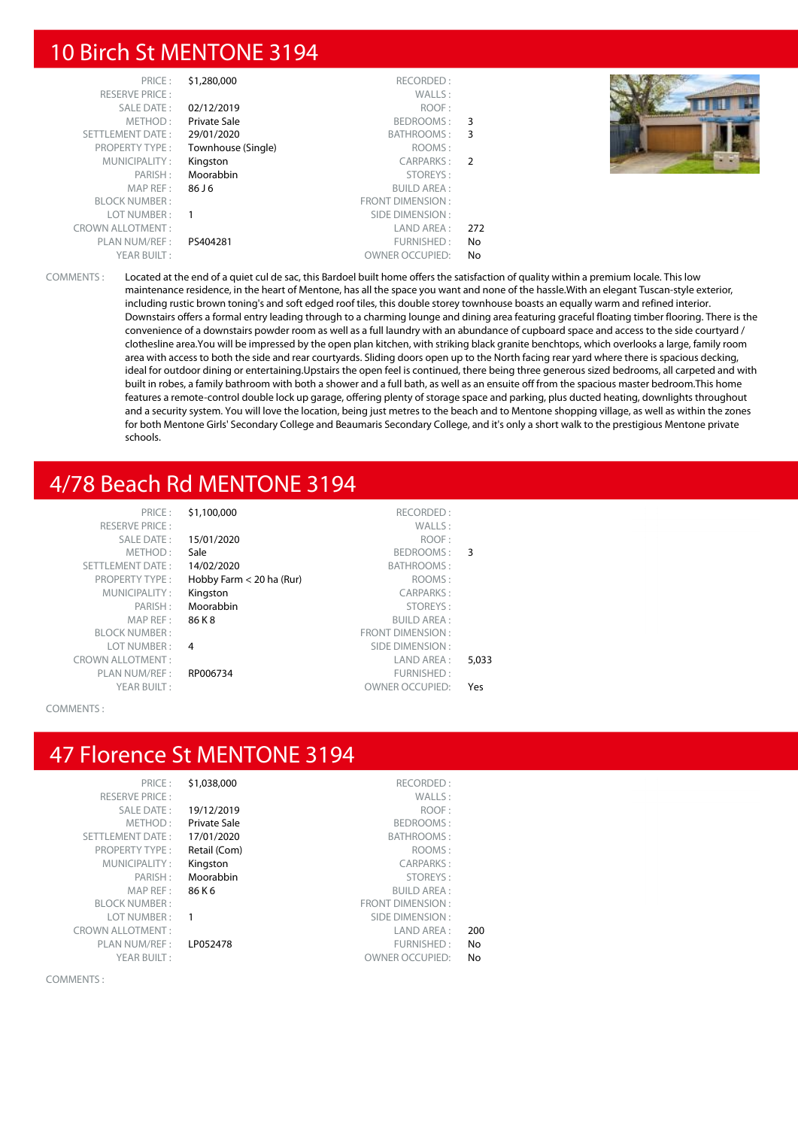#### 10 Birch St MENTONE 3194

| PRICE:                  | \$1,280,000        | RECORDED:              |     |  |
|-------------------------|--------------------|------------------------|-----|--|
| <b>RESERVE PRICE:</b>   |                    | WALLS:                 |     |  |
|                         |                    |                        |     |  |
| SALE DATE:              | 02/12/2019         | ROOF:                  |     |  |
| METHOD:                 | Private Sale       | BEDROOMS:              | - 3 |  |
| SETTLEMENT DATE:        | 29/01/2020         | BATHROOMS:             | - 3 |  |
| PROPERTY TYPE:          | Townhouse (Single) | ROOMS:                 |     |  |
| MUNICIPALITY:           | Kingston           | CARPARKS:              | - 2 |  |
| PARISH:                 | Moorabbin          | STOREYS:               |     |  |
| MAPREF:                 | 86 J 6             | <b>BUILD AREA:</b>     |     |  |
| <b>BLOCK NUMBER:</b>    |                    | FRONT DIMENSION:       |     |  |
| LOT NUMBER:             |                    | SIDE DIMENSION :       |     |  |
| <b>CROWN ALLOTMENT:</b> |                    | LAND AREA :            | 272 |  |
| PLAN NUM/REF :          | PS404281           | FURNISHED:             | No  |  |
| YEAR BUILT:             |                    | <b>OWNER OCCUPIED:</b> | No  |  |

COMMENTS : Located at the end of a quiet cul de sac, this Bardoel built home offers the satisfaction of quality within a premium locale. This low maintenance residence, in the heart of Mentone, has all the space you want and none of the hassle.With an elegant Tuscan-style exterior, including rustic brown toning's and soft edged roof tiles, this double storey townhouse boasts an equally warm and refined interior. Downstairs offers a formal entry leading through to a charming lounge and dining area featuring graceful floating timber flooring. There is the convenience of a downstairs powder room as well as a full laundry with an abundance of cupboard space and access to the side courtyard / clothesline area.You will be impressed by the open plan kitchen, with striking black granite benchtops, which overlooks a large, family room area with access to both the side and rear courtyards. Sliding doors open up to the North facing rear yard where there is spacious decking, ideal for outdoor dining or entertaining.Upstairs the open feel is continued, there being three generous sized bedrooms, all carpeted and with built in robes, a family bathroom with both a shower and a full bath, as well as an ensuite off from the spacious master bedroom.This home features a remote-control double lock up garage, offering plenty of storage space and parking, plus ducted heating, downlights throughout and a security system. You will love the location, being just metres to the beach and to Mentone shopping village, as well as within the zones for both Mentone Girls' Secondary College and Beaumaris Secondary College, and it's only a short walk to the prestigious Mentone private schools.

#### 4/78 Beach Rd MENTONE 3194

| $PRICF \cdot$         |
|-----------------------|
| <b>RESERVE PRICE:</b> |
| SAI F DATE:           |
| MFTHOD:               |
| SETTLEMENT DATE:      |
| <b>PROPERTY TYPE:</b> |
| MUNICIPALITY:         |
| PARISH:               |
| MAP RFF:              |
| <b>BI OCK NUMBER:</b> |
| LOT NUMBER :          |
| ROWN ALLOTMENT :      |
| PLAN NUM/REF :        |
| YEAR BUILT:           |

|       | WALLS:                 |                          | <b>RESERVE PRICE:</b>   |
|-------|------------------------|--------------------------|-------------------------|
|       | ROOF:                  | 15/01/2020               | <b>SALE DATE:</b>       |
| 3     | BEDROOMS:              | Sale                     | METHOD:                 |
|       | BATHROOMS:             | 14/02/2020               | <b>SETTLEMENT DATE:</b> |
|       | ROOMS:                 | Hobby Farm < 20 ha (Rur) | <b>PROPERTY TYPE:</b>   |
|       | <b>CARPARKS:</b>       | Kingston                 | MUNICIPALITY:           |
|       | STOREYS:               | Moorabbin                | PARISH:                 |
|       | <b>BUILD AREA:</b>     | 86 K 8                   | MAP REF:                |
|       | FRONT DIMENSION:       |                          | <b>BLOCK NUMBER:</b>    |
|       | SIDE DIMENSION:        | 4                        | LOT NUMBER:             |
| 5,033 | LAND AREA:             |                          | <b>CROWN ALLOTMENT:</b> |
|       | FURNISHED:             | RP006734                 | PLAN NUM/REF:           |
| Yes   | <b>OWNER OCCUPIED:</b> |                          | YEAR BUILT:             |
|       |                        |                          |                         |

**\$1,100,000** RECORDED :

#### COMMENTS :

#### 47 Florence St MENTONE 3194

|     | \$1,038,000<br>RECORDED:     | PRICE:                  |
|-----|------------------------------|-------------------------|
|     | WALLS:                       | <b>RESERVE PRICE:</b>   |
|     | ROOF:<br>19/12/2019          | <b>SALE DATE:</b>       |
|     | Private Sale<br>BEDROOMS:    | METHOD:                 |
|     | BATHROOMS:<br>17/01/2020     | <b>SETTLEMENT DATE:</b> |
|     | Retail (Com)<br>ROOMS:       | <b>PROPERTY TYPE:</b>   |
|     | <b>CARPARKS:</b><br>Kingston | MUNICIPALITY:           |
|     | STOREYS:<br>Moorabbin        | PARISH:                 |
|     | <b>BUILD AREA:</b><br>86 K 6 | MAP REF:                |
|     | FRONT DIMENSION:             | <b>BLOCK NUMBER:</b>    |
|     | SIDE DIMENSION:<br>1         | LOT NUMBER:             |
| 200 | LAND AREA:                   | <b>CROWN ALLOTMENT:</b> |
| No  | FURNISHED:<br>LP052478       | PLAN NUM/REF:           |
| No  | <b>OWNER OCCUPIED:</b>       | YEAR BUILT:             |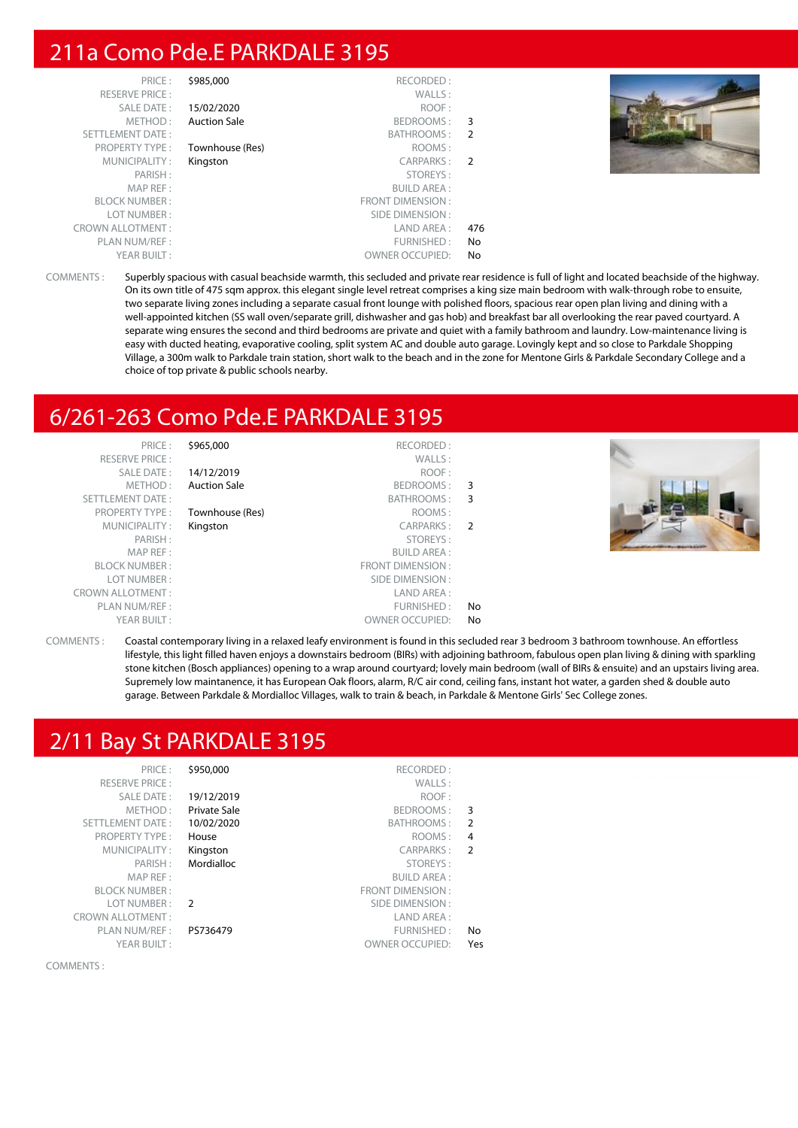#### 211a Como Pde.E PARKDALE 3195

| PRICE:                  | \$985,000           | RECORDED:              |     |  |
|-------------------------|---------------------|------------------------|-----|--|
| <b>RESERVE PRICE:</b>   |                     | WALLS:                 |     |  |
| <b>SALE DATE:</b>       | 15/02/2020          | ROOF:                  |     |  |
| METHOD:                 | <b>Auction Sale</b> | BEDROOMS:              | 3   |  |
| <b>SETTLEMENT DATE:</b> |                     | BATHROOMS:             | -2  |  |
| <b>PROPERTY TYPE:</b>   | Townhouse (Res)     | ROOMS:                 |     |  |
| MUNICIPALITY:           | Kingston            | CARPARKS:              | -2  |  |
| PARISH:                 |                     | STOREYS:               |     |  |
| MAP REF:                |                     | <b>BUILD AREA:</b>     |     |  |
| <b>BLOCK NUMBER:</b>    |                     | FRONT DIMENSION:       |     |  |
| LOT NUMBER:             |                     | SIDE DIMENSION :       |     |  |
| <b>CROWN ALLOTMENT:</b> |                     | LAND AREA :            | 476 |  |
| PLAN NUM/REF:           |                     | FURNISHED:             | No  |  |
| YEAR BUILT:             |                     | <b>OWNER OCCUPIED:</b> | No  |  |



COMMENTS : Superbly spacious with casual beachside warmth, this secluded and private rear residence is full of light and located beachside of the highway. On its own title of 475 sqm approx. this elegant single level retreat comprises a king size main bedroom with walk-through robe to ensuite, two separate living zones including a separate casual front lounge with polished floors, spacious rear open plan living and dining with a well-appointed kitchen (SS wall oven/separate grill, dishwasher and gas hob) and breakfast bar all overlooking the rear paved courtyard. A separate wing ensures the second and third bedrooms are private and quiet with a family bathroom and laundry. Low-maintenance living is easy with ducted heating, evaporative cooling, split system AC and double auto garage. Lovingly kept and so close to Parkdale Shopping Village, a 300m walk to Parkdale train station, short walk to the beach and in the zone for Mentone Girls & Parkdale Secondary College and a choice of top private & public schools nearby.

#### 6/261-263 Como Pde.E PARKDALE 3195

| PRICE:                  | \$965,000           | RECORDED:              |                         |  |
|-------------------------|---------------------|------------------------|-------------------------|--|
| <b>RESERVE PRICE:</b>   |                     | WALLS:                 |                         |  |
| SALE DATE:              | 14/12/2019          | ROOF:                  |                         |  |
| METHOD:                 | <b>Auction Sale</b> | BEDROOMS: 3            |                         |  |
| <b>SETTLEMENT DATE:</b> |                     | BATHROOMS:             | $\overline{\mathbf{3}}$ |  |
| <b>PROPERTY TYPE:</b>   | Townhouse (Res)     | ROOMS:                 |                         |  |
| MUNICIPALITY:           | Kingston            | CARPARKS: 2            |                         |  |
| PARISH:                 |                     | STOREYS:               |                         |  |
| MAP REF :               |                     | <b>BUILD AREA:</b>     |                         |  |
| <b>BLOCK NUMBER:</b>    |                     | FRONT DIMENSION :      |                         |  |
| LOT NUMBER:             |                     | SIDE DIMENSION :       |                         |  |
| <b>CROWN ALLOTMENT:</b> |                     | LAND AREA :            |                         |  |
| PLAN NUM/REF:           |                     | FURNISHED:             | No                      |  |
| YEAR BUILT:             |                     | <b>OWNER OCCUPIED:</b> | No                      |  |
|                         |                     |                        |                         |  |

COMMENTS : Coastal contemporary living in a relaxed leafy environment is found in this secluded rear 3 bedroom 3 bathroom townhouse. An effortless lifestyle, this light filled haven enjoys a downstairs bedroom (BIRs) with adjoining bathroom, fabulous open plan living & dining with sparkling stone kitchen (Bosch appliances) opening to a wrap around courtyard; lovely main bedroom (wall of BIRs & ensuite) and an upstairs living area. Supremely low maintanence, it has European Oak floors, alarm, R/C air cond, ceiling fans, instant hot water, a garden shed & double auto garage. Between Parkdale & Mordialloc Villages, walk to train & beach, in Parkdale & Mentone Girls' Sec College zones.

#### 2/11 Bay St PARKDALE 3195

| \$950,000     | RECORDED:              |               |
|---------------|------------------------|---------------|
|               | WALLS:                 |               |
| 19/12/2019    | ROOF:                  |               |
| Private Sale  | BEDROOMS:              | 3             |
| 10/02/2020    | BATHROOMS:             | 2             |
| House         | ROOMS:                 | 4             |
| Kingston      | CARPARKS:              | $\mathcal{P}$ |
| Mordialloc    | STOREYS:               |               |
|               | <b>BUILD AREA:</b>     |               |
|               | FRONT DIMENSION:       |               |
| $\mathcal{P}$ | SIDE DIMENSION:        |               |
|               | LAND AREA:             |               |
| PS736479      | FURNISHED:             | No            |
|               | <b>OWNER OCCUPIED:</b> | Yes           |
|               |                        |               |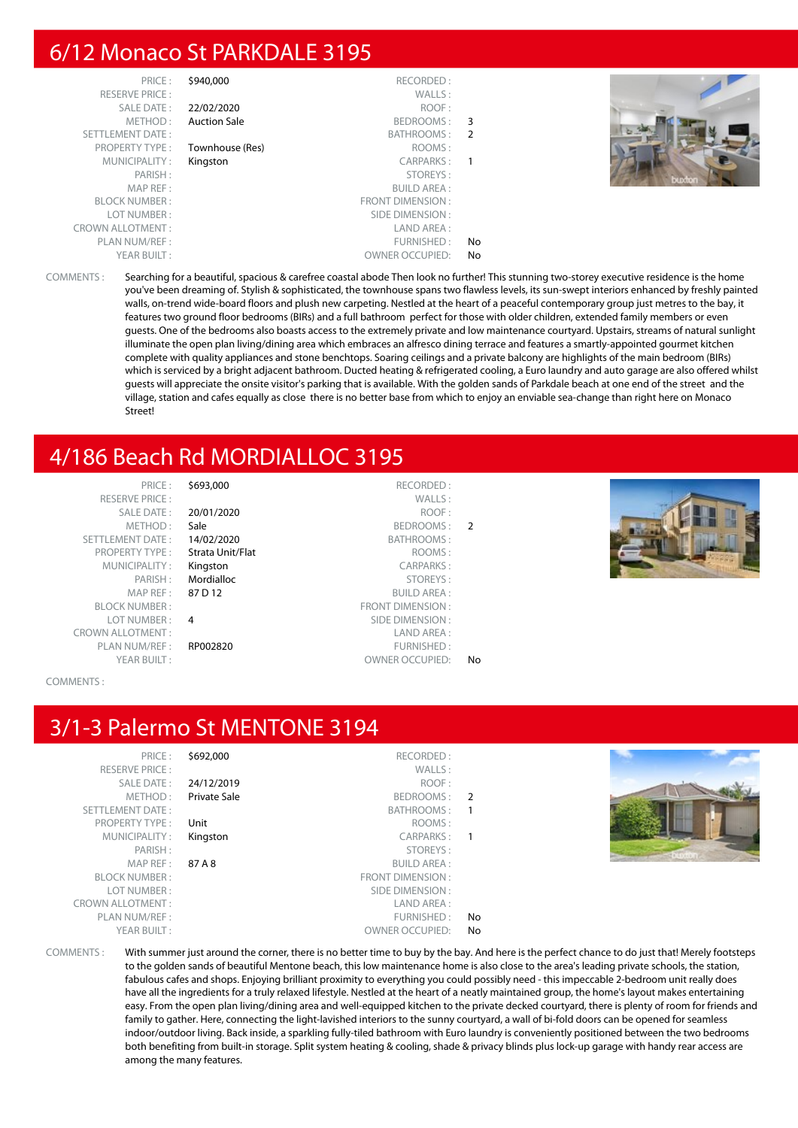#### 6/12 Monaco St PARKDALE 3195

| PRICE:                  | \$940,000           | RECORDED:               |    |
|-------------------------|---------------------|-------------------------|----|
| <b>RESERVE PRICE:</b>   |                     | WALLS:                  |    |
| <b>SALE DATE:</b>       | 22/02/2020          | ROOF:                   |    |
| METHOD:                 | <b>Auction Sale</b> | BEDROOMS:               | 3  |
| <b>SETTLEMENT DATE:</b> |                     | BATHROOMS:              | 2  |
| <b>PROPERTY TYPE:</b>   | Townhouse (Res)     | ROOMS:                  |    |
| MUNICIPALITY:           | Kingston            | <b>CARPARKS:</b>        |    |
| PARISH:                 |                     | STOREYS:                |    |
| MAP REF:                |                     | <b>BUILD AREA:</b>      |    |
| <b>BLOCK NUMBER:</b>    |                     | <b>FRONT DIMENSION:</b> |    |
| LOT NUMBER:             |                     | SIDE DIMENSION:         |    |
| <b>CROWN ALLOTMENT:</b> |                     | LAND AREA:              |    |
| PLAN NUM/REF:           |                     | FURNISHED:              | No |
| YEAR BUILT:             |                     | <b>OWNER OCCUPIED:</b>  | No |



COMMENTS : Searching for a beautiful, spacious & carefree coastal abode Then look no further! This stunning two-storey executive residence is the home you've been dreaming of. Stylish & sophisticated, the townhouse spans two flawless levels, its sun-swept interiors enhanced by freshly painted walls, on-trend wide-board floors and plush new carpeting. Nestled at the heart of a peaceful contemporary group just metres to the bay, it features two ground floor bedrooms (BIRs) and a full bathroom perfect for those with older children, extended family members or even guests. One of the bedrooms also boasts access to the extremely private and low maintenance courtyard. Upstairs, streams of natural sunlight illuminate the open plan living/dining area which embraces an alfresco dining terrace and features a smartly-appointed gourmet kitchen complete with quality appliances and stone benchtops. Soaring ceilings and a private balcony are highlights of the main bedroom (BIRs) which is serviced by a bright adjacent bathroom. Ducted heating & refrigerated cooling, a Euro laundry and auto garage are also offered whilst guests will appreciate the onsite visitor's parking that is available. With the golden sands of Parkdale beach at one end of the street and the village, station and cafes equally as close there is no better base from which to enjoy an enviable sea-change than right here on Monaco Street!

## 4/186 Beach Rd MORDIALLOC 3195

| PRICF                          |
|--------------------------------|
| RFSFRVF PRICF:                 |
| SAI F DATF:                    |
| MFTHOD:                        |
| <b>SETTLEMENT DATE:</b>        |
| <b>PROPERTY TYPE:</b>          |
| ΜΗΝΙΓΙΡΑΙ ΙΤΥ :                |
| PARISH:                        |
| MAP RFF:                       |
| <b>BI OCK NUMBER:</b>          |
| I OT NUMBER :                  |
| CROWN ALLOTMENT:               |
| PLAN NUM/REF:                  |
| $YFAR$ $R$ $I$ $H$ $T$ $\cdot$ |

Mordialloc

**\$693,000** RECORDED : RESERVE PRICE : WALLS : **SALE DATE : 20/01/2020** ROOF : Sale **BEDROOMS** : 2 **SETTLEMENT DATE IN A 2020 BATHROOMS** : **Property Type Strata Unit/Flat** ROOMS : Example of the Municipality of the Municipality of the Municipality of the Municipality of the Municipality of the Municipality of the Municipality of the Municipality of the Municipality of the Municipality of the Municip 87 D 12 BUILD AREA : FRONT DIMENSION : **4** SIDE DIMENSION : LAND ARFA : RP002820 FURNISHED : OWNER OCCUPIED: No



COMMENTS :

#### 3/1-3 Palermo St MENTONE 3194

RESERVE PRICE : SALE DATE: SETTLEMENT DATE : PROPERTY TYPE : MUNICIPALITY: MAP REF : BLOCK NUMBER : LOT NUMBER: CROWN ALLOTMENT: PLAN NUM/REF :

| PRICE:<br><b>ERVE PRICE:</b> | \$692,000    | RECORDED:<br>WALLS:     |               |
|------------------------------|--------------|-------------------------|---------------|
|                              |              |                         |               |
| <b>SALE DATE:</b>            | 24/12/2019   | ROOF:                   |               |
| METHOD:                      | Private Sale | BEDROOMS:               | $\mathcal{P}$ |
| MENT DATE:                   |              | <b>BATHROOMS:</b>       | 1             |
| <b>PERTY TYPE:</b>           | Unit         | ROOMS:                  |               |
| <b>INICIPALITY:</b>          | Kingston     | CARPARKS:               | 1             |
| PARISH:                      |              | STOREYS:                |               |
| MAP REF :                    | 87 A 8       | <b>BUILD AREA:</b>      |               |
| EK NUMBER :                  |              | <b>FRONT DIMENSION:</b> |               |
| OT NUMBER :                  |              | SIDE DIMENSION:         |               |
| LLOTMENT:                    |              | LAND AREA:              |               |
| N NUM/REF :                  |              | FURNISHED:              | No            |
| YEAR BUILT:                  |              | <b>OWNER OCCUPIED:</b>  | No            |
|                              |              |                         |               |



COMMENTS : With summer just around the corner, there is no better time to buy by the bay. And here is the perfect chance to do just that! Merely footsteps to the golden sands of beautiful Mentone beach, this low maintenance home is also close to the area's leading private schools, the station, fabulous cafes and shops. Enjoying brilliant proximity to everything you could possibly need - this impeccable 2-bedroom unit really does have all the ingredients for a truly relaxed lifestyle. Nestled at the heart of a neatly maintained group, the home's layout makes entertaining easy. From the open plan living/dining area and well-equipped kitchen to the private decked courtyard, there is plenty of room for friends and family to gather. Here, connecting the light-lavished interiors to the sunny courtyard, a wall of bi-fold doors can be opened for seamless indoor/outdoor living. Back inside, a sparkling fully-tiled bathroom with Euro laundry is conveniently positioned between the two bedrooms both benefiting from built-in storage. Split system heating & cooling, shade & privacy blinds plus lock-up garage with handy rear access are among the many features.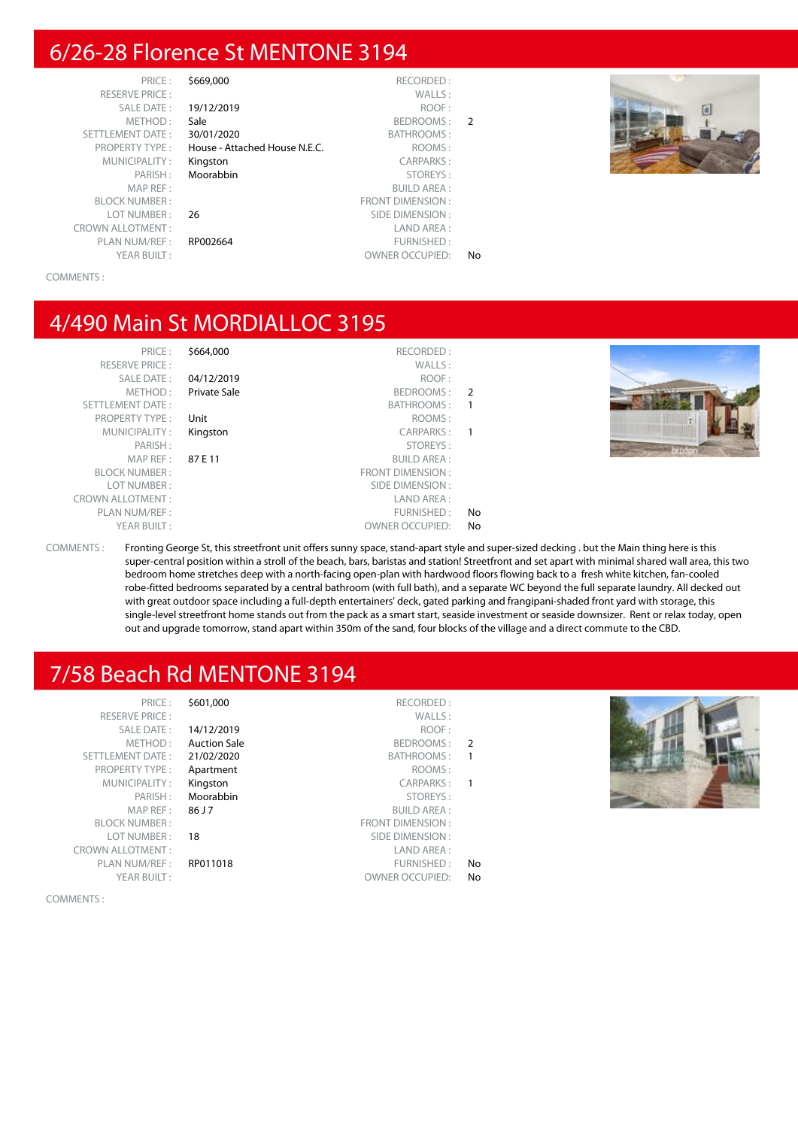#### 6/26-28 Florence St MENTONE 3194

| PRICE:                  | \$669,000                     | RECORDED:               |               |
|-------------------------|-------------------------------|-------------------------|---------------|
| <b>RESERVE PRICE:</b>   |                               | WALLS:                  |               |
| <b>SALE DATE:</b>       | 19/12/2019                    | ROOF:                   |               |
| METHOD:                 | Sale                          | BEDROOMS:               | $\mathcal{P}$ |
| <b>SETTLEMENT DATE:</b> | 30/01/2020                    | BATHROOMS:              |               |
| <b>PROPERTY TYPE:</b>   | House - Attached House N.E.C. | ROOMS:                  |               |
| MUNICIPALITY:           | Kingston                      | <b>CARPARKS:</b>        |               |
| PARISH:                 | Moorabbin                     | STOREYS:                |               |
| MAP REF:                |                               | <b>BUILD AREA:</b>      |               |
| <b>BLOCK NUMBER:</b>    |                               | <b>FRONT DIMENSION:</b> |               |
| LOT NUMBER:             | 26                            | SIDE DIMENSION:         |               |
| <b>CROWN ALLOTMENT:</b> |                               | LAND AREA:              |               |
| PLAN NUM/REF :          | RP002664                      | FURNISHED:              |               |
| YEAR BUILT:             |                               | <b>OWNER OCCUPIED:</b>  | No.           |



COMMENTS :

#### 4/490 Main St MORDIALLOC 3195

| PRICE:                  | \$664,000    | RECORDED:               |                |  |
|-------------------------|--------------|-------------------------|----------------|--|
| <b>RESERVE PRICE:</b>   |              | WALLS:                  |                |  |
| <b>SALE DATE:</b>       | 04/12/2019   | ROOF:                   |                |  |
| METHOD:                 | Private Sale | BEDROOMS:               | $\overline{2}$ |  |
| SETTLEMENT DATE:        |              | BATHROOMS:              | 1              |  |
| <b>PROPERTY TYPE:</b>   | Unit         | ROOMS:                  |                |  |
| MUNICIPALITY:           | Kingston     | CARPARKS:               | $\overline{1}$ |  |
| PARISH:                 |              | STOREYS:                |                |  |
| $MAP$ RFF:              | 87 F 11      | <b>BUILD AREA:</b>      |                |  |
| <b>BLOCK NUMBER:</b>    |              | <b>FRONT DIMENSION:</b> |                |  |
| LOT NUMBER:             |              | SIDE DIMENSION:         |                |  |
| <b>CROWN ALLOTMENT:</b> |              | LAND AREA:              |                |  |
| PLAN NUM/REF:           |              | FURNISHED:              | No.            |  |
| YEAR BUILT:             |              | <b>OWNER OCCUPIED:</b>  | No.            |  |
|                         |              |                         |                |  |



COMMENTS : Fronting George St, this streetfront unit offers sunny space, stand-apart style and super-sized decking . but the Main thing here is this super-central position within a stroll of the beach, bars, baristas and station! Streetfront and set apart with minimal shared wall area, this two bedroom home stretches deep with a north-facing open-plan with hardwood floors flowing back to a fresh white kitchen, fan-cooled robe-fitted bedrooms separated by a central bathroom (with full bath), and a separate WC beyond the full separate laundry. All decked out with great outdoor space including a full-depth entertainers' deck, gated parking and frangipani-shaded front yard with storage, this single-level streetfront home stands out from the pack as a smart start, seaside investment or seaside downsizer. Rent or relax today, open out and upgrade tomorrow, stand apart within 350m of the sand, four blocks of the village and a direct commute to the CBD.

## 7/58 Beach Rd MENTONE 3194

| $PRI$ ( $\vdash$               |
|--------------------------------|
| RFSFRVF PRICF:                 |
| SAI F DATE:                    |
| MFTHOD:                        |
| <b>SETTI EMENT DATE:</b>       |
| <b>PROPERTY TYPE:</b>          |
| MUNICIPALITY:                  |
| PARISH:                        |
| MAP RFF:                       |
| <b>BI OCK NUMBER :</b>         |
| LOT NUMBER :                   |
| CROWN ALLOTMENT:               |
| PLAN NUM/REF :                 |
| $YFAR$ $R$ $I$ $H$ $T$ $\cdot$ |
|                                |

|              | \$601,000<br>RECORDED:           | PRICE:                  |
|--------------|----------------------------------|-------------------------|
|              | WALLS:                           | <b>RESERVE PRICE:</b>   |
|              | 14/12/2019<br>ROOF:              | <b>SALE DATE:</b>       |
| 2            | BEDROOMS:<br><b>Auction Sale</b> | METHOD:                 |
|              | BATHROOMS:<br>21/02/2020         | <b>SETTLEMENT DATE:</b> |
|              | ROOMS:<br>Apartment              | <b>PROPERTY TYPE:</b>   |
| 1            | CARPARKS:<br>Kingston            | MUNICIPALITY:           |
|              | Moorabbin<br>STOREYS:            | PARISH:                 |
|              | 86 J 7<br><b>BUILD AREA:</b>     | MAP REF:                |
|              | <b>FRONT DIMENSION:</b>          | <b>BLOCK NUMBER:</b>    |
|              | SIDE DIMENSION:<br>18            | LOT NUMBER:             |
|              | LAND AREA:                       | <b>CROWN ALLOTMENT:</b> |
| No           | RP011018<br>FURNISHED:           | PLAN NUM/REF :          |
| $N_{\Omega}$ | OWNER OCCHRIED.                  | VE A D RIIII T +        |

| PRICE:              | \$601,000           | RECORDED:               |              |
|---------------------|---------------------|-------------------------|--------------|
| <b>ERVE PRICE:</b>  |                     | WALLS:                  |              |
| SALE DATE:          | 14/12/2019          | ROOF:                   |              |
| METHOD:             | <b>Auction Sale</b> | <b>BEDROOMS:</b>        | 2            |
| MENT DATE :         | 21/02/2020          | <b>BATHROOMS:</b>       | -1           |
| PERTY TYPE:         | Apartment           | ROOMS:                  |              |
| <b>INICIPALITY:</b> | Kingston            | <b>CARPARKS:</b>        | $\mathbf{1}$ |
| PARISH:             | Moorabbin           | STOREYS:                |              |
| MAP REF:            | 86 J 7              | <b>BUILD AREA:</b>      |              |
| EK NUMBER :         |                     | <b>FRONT DIMENSION:</b> |              |
| OT NUMBER :         | 18                  | SIDE DIMENSION:         |              |
| LLOTMENT:           |                     | LAND AREA:              |              |
| N NUM/REF :         | RP011018            | FURNISHED:              | No           |
| YEAR BUILT:         |                     | <b>OWNER OCCUPIED:</b>  | No           |
|                     |                     |                         |              |

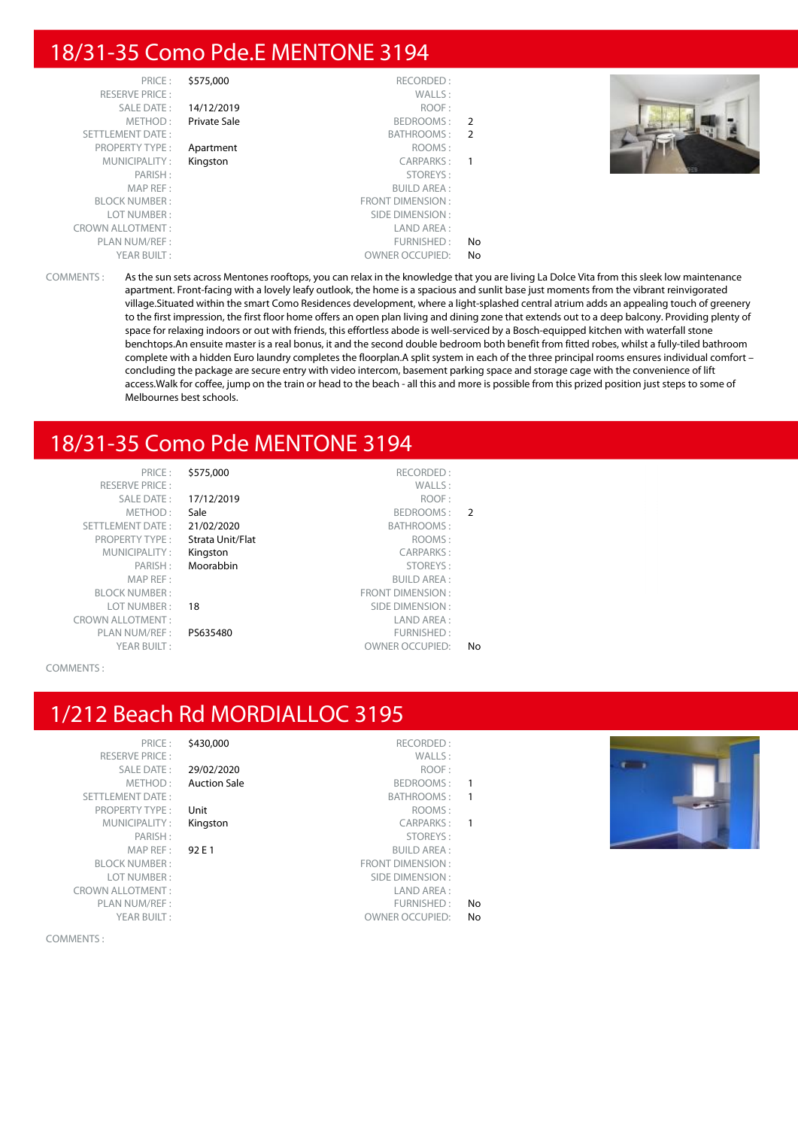#### 18/31-35 Como Pde.E MENTONE 3194

| PRICE:                  | \$575,000    | RECORDED:               |               |
|-------------------------|--------------|-------------------------|---------------|
| <b>RESERVE PRICE:</b>   |              | WALLS:                  |               |
| SALE DATE:              | 14/12/2019   | ROOF:                   |               |
| METHOD:                 | Private Sale | BEDROOMS:               | $\mathcal{P}$ |
| <b>SETTLEMENT DATE:</b> |              | BATHROOMS:              | 2             |
| <b>PROPERTY TYPE:</b>   | Apartment    | ROOMS:                  |               |
| MUNICIPALITY:           | Kingston     | CARPARKS:               | 1             |
| PARISH:                 |              | STOREYS:                |               |
| MAP REF:                |              | <b>BUILD AREA:</b>      |               |
| <b>BLOCK NUMBER:</b>    |              | <b>FRONT DIMENSION:</b> |               |
| LOT NUMBER:             |              | SIDE DIMENSION:         |               |
| <b>CROWN ALLOTMENT:</b> |              | LAND AREA:              |               |
| PLAN NUM/REF:           |              | FURNISHED:              | No            |
| YEAR BUILT:             |              | <b>OWNER OCCUPIED:</b>  | No            |



COMMENTS : As the sun sets across Mentones rooftops, you can relax in the knowledge that you are living La Dolce Vita from this sleek low maintenance apartment. Front-facing with a lovely leafy outlook, the home is a spacious and sunlit base just moments from the vibrant reinvigorated village.Situated within the smart Como Residences development, where a light-splashed central atrium adds an appealing touch of greenery to the first impression, the first floor home offers an open plan living and dining zone that extends out to a deep balcony. Providing plenty of space for relaxing indoors or out with friends, this effortless abode is well-serviced by a Bosch-equipped kitchen with waterfall stone benchtops.An ensuite master is a real bonus, it and the second double bedroom both benefit from fitted robes, whilst a fully-tiled bathroom complete with a hidden Euro laundry completes the floorplan.A split system in each of the three principal rooms ensures individual comfort – concluding the package are secure entry with video intercom, basement parking space and storage cage with the convenience of lift access.Walk for coffee, jump on the train or head to the beach - all this and more is possible from this prized position just steps to some of Melbournes best schools.

# 18/31-35 Como Pde MENTONE 3194

PROPERTY TYPE : Strata Unit/Flat

PRICE : \$575,000 RECORDED : RESERVE PRICE : WALLS : SALE DATE : **17/12/2019** ROOF : METHOD : Sale BEDROOMS : 2 SETTLEMENT DATE : 21/02/2020 BATHROOMS : MUNICIPALITY : **Kingston** CARPARKS : PARISH : Moorabbin STOREYS : MAP REF : BUILD AREA : BLOCK NUMBER : FRONT DIMENSION : **18** SIDE DIMENSION : CROWN ALLOTMENT : LAND AREA : PLAN NUM/REF : PS635480 FURNISHED :

YEAR BUILT : OWNER OCCUPIED: No

COMMENTS :

# 1/212 Beach Rd MORDIALLOC 3195

PRICE: \$430,000 RESERVE PRICE : SALE DATE : 29/02/2020 METHOD: Auction Sale SETTLEMENT DATE: PROPERTY TYPE : Unit MUNICIPALITY: Kingston MAP REF : 92 E 1 BLOCK NUMBER : LOT NUMBER : CROWN ALLOTMENT : PLAN NUM/REF : YEAR BUILT:

| PRICE:          | \$430,000           | RECORDED:               |    |
|-----------------|---------------------|-------------------------|----|
| $E$ PRICE :     |                     | WALLS:                  |    |
| $E$ DATE:       | 29/02/2020          | ROOF:                   |    |
| ETHOD:          | <b>Auction Sale</b> | BEDROOMS:               |    |
| T DATE:         |                     | BATHROOMS:              | 1  |
| Y TYPE:         | Unit                | ROOMS:                  |    |
| <b>IPALITY:</b> | Kingston            | <b>CARPARKS:</b>        |    |
| PARISH:         |                     | STOREYS:                |    |
| <b>AP REF:</b>  | 92 E 1              | <b>BUILD AREA:</b>      |    |
| UMBER:          |                     | <b>FRONT DIMENSION:</b> |    |
| UMBER:          |                     | SIDE DIMENSION:         |    |
| TMENT:          |                     | LAND AREA:              |    |
| JM/REF:         |                     | FURNISHED:              | No |
| R BUILT :       |                     | <b>OWNER OCCUPIED:</b>  | No |
|                 |                     |                         |    |

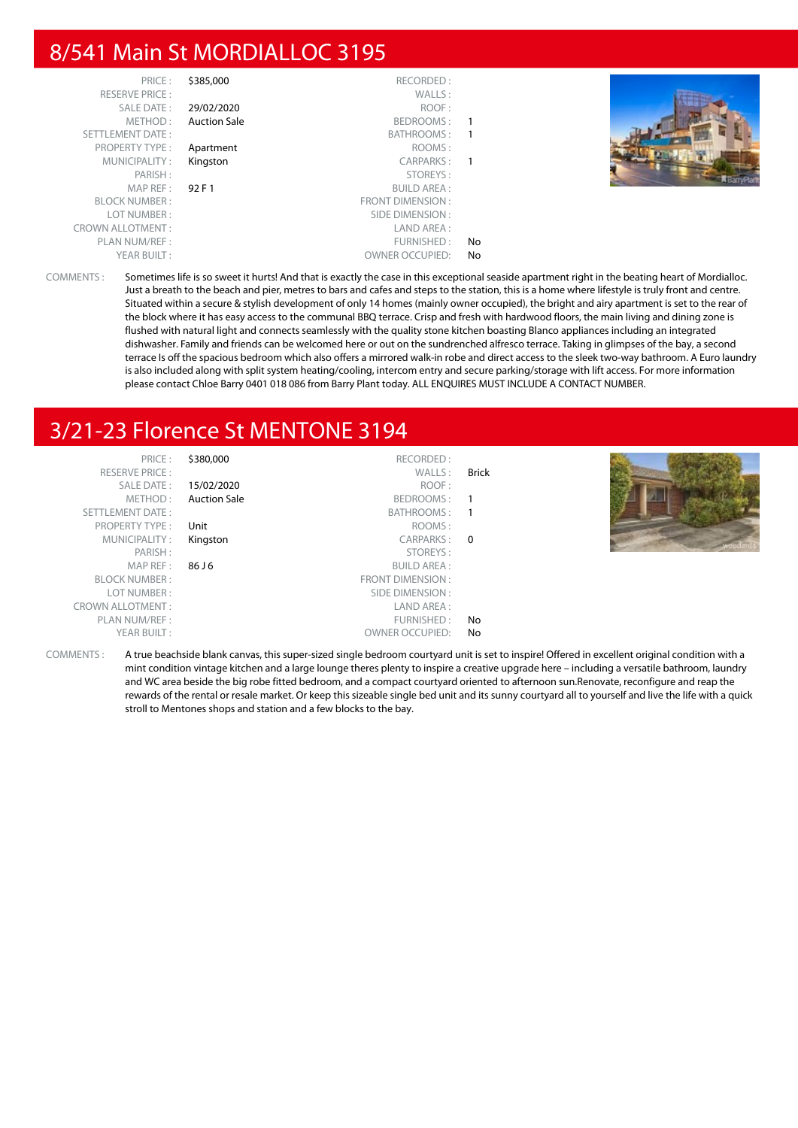#### 8/541 Main St MORDIALLOC 3195

| PRICE:                  | \$385,000           | RECORDED:               |                |  |
|-------------------------|---------------------|-------------------------|----------------|--|
| <b>RESERVE PRICE:</b>   |                     | WALLS:                  |                |  |
| SALE DATE:              | 29/02/2020          | ROOF:                   |                |  |
| METHOD:                 | <b>Auction Sale</b> | BEDROOMS:               |                |  |
| SETTLEMENT DATE:        |                     | <b>BATHROOMS:</b>       | $\overline{1}$ |  |
| <b>PROPERTY TYPE:</b>   | Apartment           | ROOMS:                  |                |  |
| MUNICIPALITY:           | Kingston            | CARPARKS:               |                |  |
| PARISH:                 |                     | STOREYS:                |                |  |
| MAP REF:                | 92 F 1              | <b>BUILD AREA:</b>      |                |  |
| <b>BLOCK NUMBER:</b>    |                     | <b>FRONT DIMENSION:</b> |                |  |
| LOT NUMBER:             |                     | SIDE DIMENSION:         |                |  |
| <b>CROWN ALLOTMENT:</b> |                     | LAND AREA:              |                |  |
| PLAN NUM/REF:           |                     | FURNISHED:              | No             |  |
| YEAR BUILT:             |                     | <b>OWNER OCCUPIED:</b>  | No             |  |



COMMENTS : Sometimes life is so sweet it hurts! And that is exactly the case in this exceptional seaside apartment right in the beating heart of Mordialloc. Just a breath to the beach and pier, metres to bars and cafes and steps to the station, this is a home where lifestyle is truly front and centre. Situated within a secure & stylish development of only 14 homes (mainly owner occupied), the bright and airy apartment is set to the rear of the block where it has easy access to the communal BBQ terrace. Crisp and fresh with hardwood floors, the main living and dining zone is flushed with natural light and connects seamlessly with the quality stone kitchen boasting Blanco appliances including an integrated dishwasher. Family and friends can be welcomed here or out on the sundrenched alfresco terrace. Taking in glimpses of the bay, a second terrace Is off the spacious bedroom which also offers a mirrored walk-in robe and direct access to the sleek two-way bathroom. A Euro laundry is also included along with split system heating/cooling, intercom entry and secure parking/storage with lift access. For more information please contact Chloe Barry 0401 018 086 from Barry Plant today. ALL ENQUIRES MUST INCLUDE A CONTACT NUMBER.

## 3/21-23 Florence St MENTONE 3194

|              | RECORDED:              | \$380,000           | PRICE:                  |
|--------------|------------------------|---------------------|-------------------------|
| <b>Brick</b> | WALLS:                 |                     | <b>RESERVE PRICE:</b>   |
|              | ROOF:                  | 15/02/2020          | SALE DATE:              |
|              | BEDROOMS:              | <b>Auction Sale</b> | METHOD:                 |
| -1           | BATHROOMS:             |                     | SETTLEMENT DATE:        |
|              | ROOMS:                 | Unit                | <b>PROPERTY TYPE:</b>   |
| $\Omega$     | CARPARKS:              | Kingston            | MUNICIPALITY:           |
|              | STOREYS:               |                     | PARISH:                 |
|              | <b>BUILD AREA:</b>     | 86 J 6              | MAP REF:                |
|              | FRONT DIMENSION:       |                     | <b>BLOCK NUMBER:</b>    |
|              | SIDE DIMENSION :       |                     | LOT NUMBER:             |
|              | LAND AREA :            |                     | <b>CROWN ALLOTMENT:</b> |
| No           | FURNISHED:             |                     | PLAN NUM/REF:           |
| No           | <b>OWNER OCCUPIED:</b> |                     | YEAR BUILT:             |



COMMENTS : A true beachside blank canvas, this super-sized single bedroom courtyard unit is set to inspire! Offered in excellent original condition with a mint condition vintage kitchen and a large lounge theres plenty to inspire a creative upgrade here – including a versatile bathroom, laundry and WC area beside the big robe fitted bedroom, and a compact courtyard oriented to afternoon sun.Renovate, reconfigure and reap the rewards of the rental or resale market. Or keep this sizeable single bed unit and its sunny courtyard all to yourself and live the life with a quick stroll to Mentones shops and station and a few blocks to the bay.